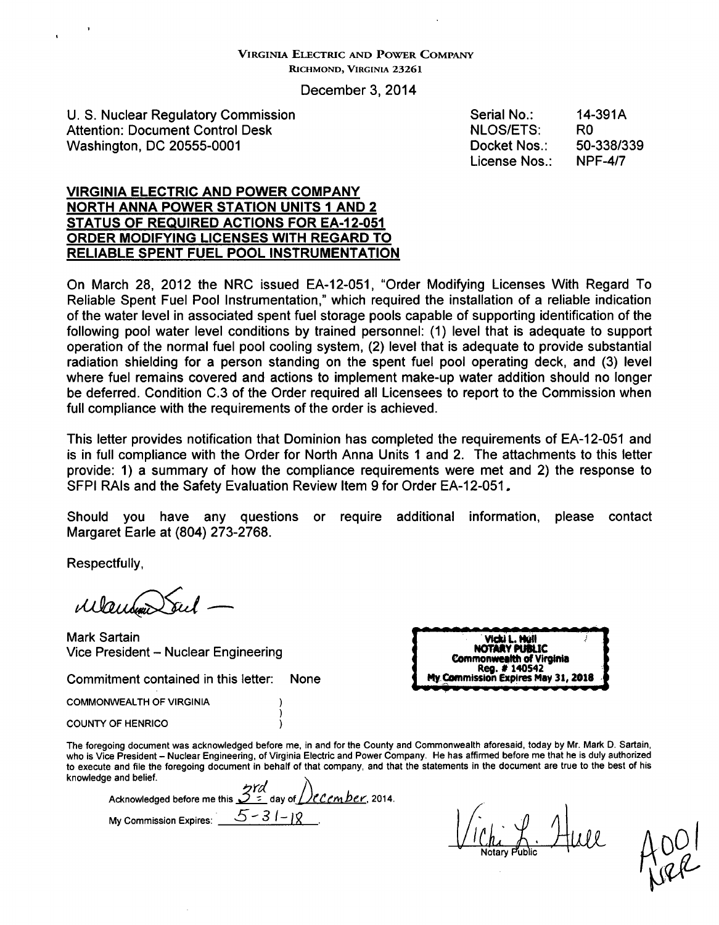#### VIRGINIA ELECTRIC **AND** POWER COMPANY RICHMOND, VIRGINIA **23261**

December 3, 2014

U. S. Nuclear Regulatory Commission Attention: Document Control Desk Washington, DC 20555-0001

Serial No.: NLOS/ETS: Docket Nos.: License Nos.: 14-391A R<sub>0</sub> 50-338/339 NPF-4/7

#### VIRGINIA ELECTRIC **AND** POWER COMPANY NORTH **ANNA** POWER **STATION UNITS 1 AND** 2 **STATUS** OF **REQUIRED ACTIONS** FOR **EA-1 2-051** ORDER **MODIFYING LICENSES** WITH REGARD TO RELIABLE **SPENT FUEL** POOL **INSTRUMENTATION**

On March 28, 2012 the NRC issued EA-12-051, "Order Modifying Licenses With Regard To Reliable Spent Fuel Pool Instrumentation," which required the installation of a reliable indication of the water level in associated spent fuel storage pools capable of supporting identification of the following pool water level conditions by trained personnel: (1) level that is adequate to support operation of the normal fuel pool cooling system, (2) level that is adequate to provide substantial radiation shielding for a person standing on the spent fuel pool operating deck, and (3) level where fuel remains covered and actions to implement make-up water addition should no longer be deferred. Condition C.3 of the Order required all Licensees to report to the Commission when full compliance with the requirements of the order is achieved.

This letter provides notification that Dominion has completed the requirements of EA-12-051 and is in full compliance with the Order for North Anna Units **1** and 2. The attachments to this letter provide: 1) a summary of how the compliance requirements were met and 2) the response to SFPI RAIs and the Safety Evaluation Review Item 9 for Order EA-12-051.

Should you have any questions or require additional information, please contact Margaret Earle at (804) 273-2768.

Respectfully,

*ak&dL24D•47*

Mark Sartain Vice President - Nuclear Engineering

Mark Sartain<br>Vice President – Nuclear Engineering<br>Commitment contained in this letter: None **Ingles in the Commonwealth of**<br>Commonwealth of *Reg.* # 1405<br>Commonwealth of *Reg.* # 1405 **NOTARY** PUBLIC Commonwealth of Virginia Reg. **#** <sup>140542</sup> Vicki L. Huil<br>**IQTARY PUBLIC<br>Commonwealth of Virginia<br>Ingles #140542<br>My Commission Expires May 31, 2018** 

COMMONWEALTH OF VIRGINIA

COUNTY OF HENRICO

The foregoing document was acknowledged before me, in and for the County and Commonwealth aforesaid, today by Mr. Mark D. Sartain, who is Vice President - Nuclear Engineering, of Virginia Electric and Power Company. He has affirmed before me that he is duly authorized to execute and file the foregoing document in behalf of that company, and that the statements in the document are true to the best of his knowledge and belief.

Acknowledged before me this  $\frac{3!}{2!}$  day of  $\frac{1}{2}$  C cm ber, 2014. My Commission Expires:  $\frac{5-31-18}{ }$ 

)) )

 $\bigcup_{\alpha}$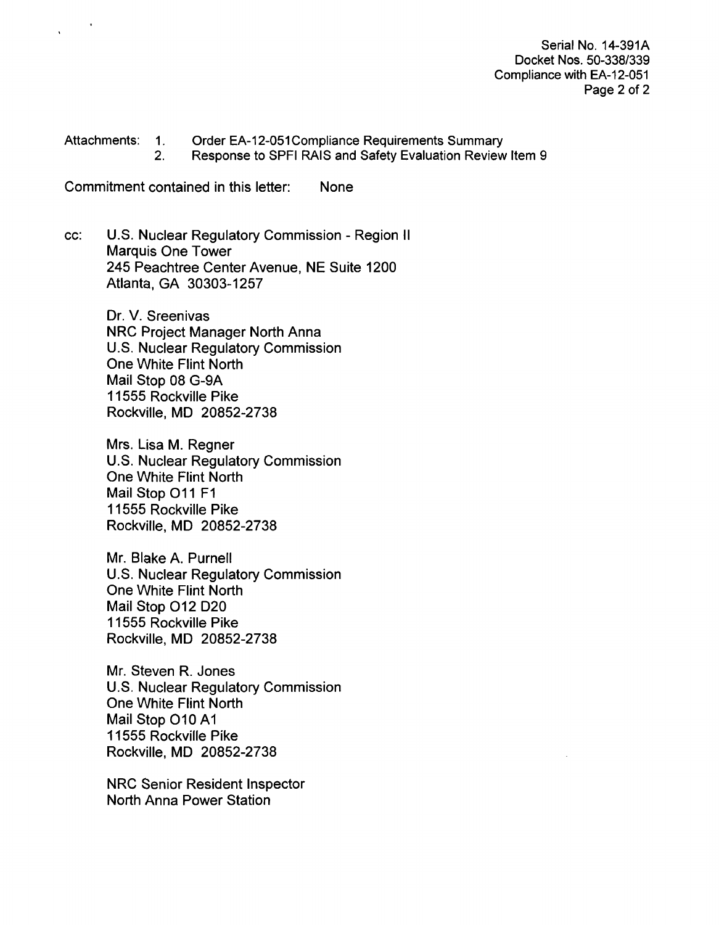Serial No. 14-391A Docket Nos. 50-338/339 Compliance with EA-12-051 Page 2 of 2

Attachments: 1. Order EA-12-051 Compliance Requirements Summary<br>2. Response to SPFI RAIS and Safety Evaluation Review Response to SPFI RAIS and Safety Evaluation Review Item 9

Commitment contained in this letter: None

cc: U.S. Nuclear Regulatory Commission - Region II Marquis One Tower 245 Peachtree Center Avenue, NE Suite 1200 Atlanta, GA 30303-1257

> Dr. V. Sreenivas NRC Project Manager North Anna U.S. Nuclear Regulatory Commission One White Flint North Mail Stop 08 G-9A 11555 Rockville Pike Rockville, MD 20852-2738

> Mrs. Lisa M. Regner U.S. Nuclear Regulatory Commission One White Flint North Mail Stop **011** F1 11555 Rockville Pike Rockville, MD 20852-2738

> Mr. Blake A. Purnell U.S. Nuclear Regulatory Commission One White Flint North Mail Stop 012 D20 11555 Rockville Pike Rockville, MD 20852-2738

> Mr. Steven R. Jones U.S. Nuclear Regulatory Commission One White Flint North Mail Stop **010 Al** 11555 Rockville Pike Rockville, MD 20852-2738

NRC Senior Resident Inspector North Anna Power Station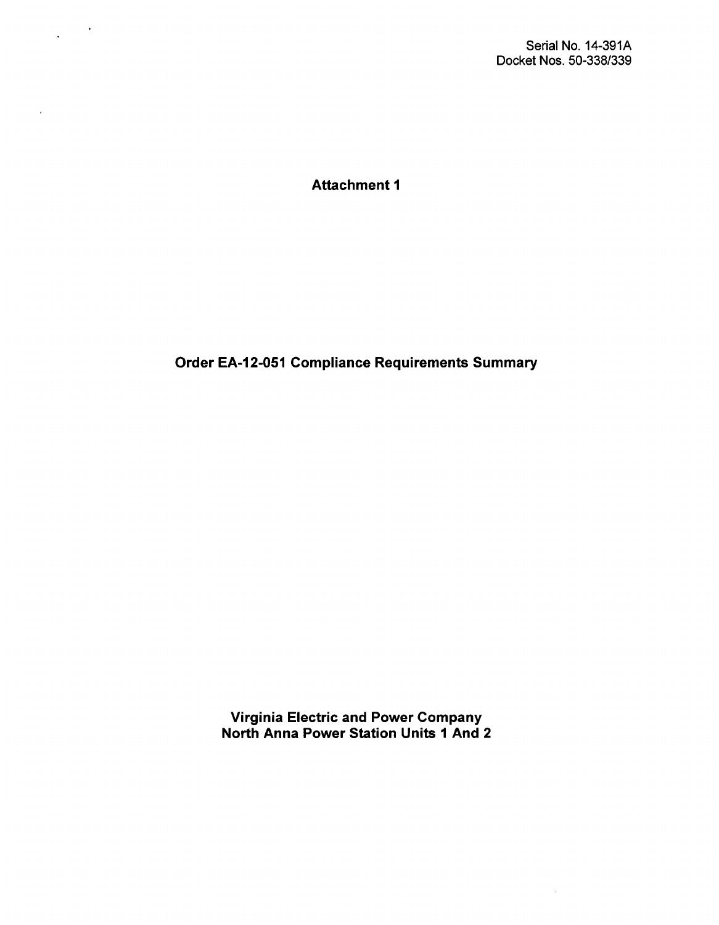l.

Attachment **1**

 $\sim$   $\sim$  $\ddot{\phantom{a}}$ 

 $\bar{z}$ 

Order EA-12-051 Compliance Requirements Summary

Virginia Electric and Power Company North Anna Power Station Units **1** And 2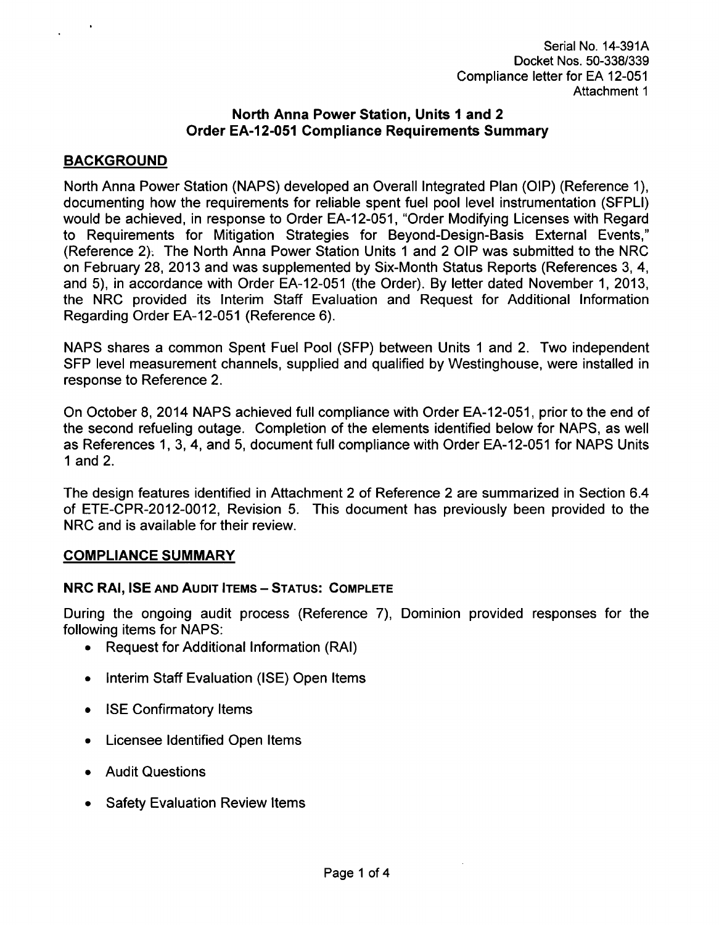## North Anna Power Station, Units **I** and 2 Order EA-12-051 Compliance Requirements Summary

## BACKGROUND

North Anna Power Station (NAPS) developed an Overall Integrated Plan (OIP) (Reference 1), documenting how the requirements for reliable spent fuel pool level instrumentation (SFPLI) would be achieved, in response to Order EA-12-051, "Order Modifying Licenses with Regard to Requirements for Mitigation Strategies for Beyond-Design-Basis External Events," (Reference 2); The North Anna Power Station Units 1 and 2 OIP was submitted to the NRC on February 28, 2013 and was supplemented by Six-Month Status Reports (References 3, 4, and 5), in accordance with Order EA-12-051 (the Order). By letter dated November 1, 2013, the NRC provided its Interim Staff Evaluation and Request for Additional Information Regarding Order EA-12-051 (Reference 6).

NAPS shares a common Spent Fuel Pool (SFP) between Units 1 and 2. Two independent SFP level measurement channels, supplied and qualified by Westinghouse, were installed in response to Reference 2.

On October 8, 2014 NAPS achieved full compliance with Order EA-12-051, prior to the end of the second refueling outage. Completion of the elements identified below for NAPS, as well as References 1, 3, 4, and 5, document full compliance with Order EA-12-051 for NAPS Units 1 and 2.

The design features identified in Attachment 2 of Reference 2 are summarized in Section 6.4 of ETE-CPR-2012-0012, Revision 5. This document has previously been provided to the NRC and is available for their review.

## **COMPLIANCE** SUMMARY

## NRC RAI, **ISE AND AUDIT ITEMS** - **STATUS:** COMPLETE

During the ongoing audit process (Reference 7), Dominion provided responses for the following items for NAPS:

- **"** Request for Additional Information (RAI)
- **"** Interim Staff Evaluation (ISE) Open Items
- ISE Confirmatory Items
- **"** Licensee Identified Open Items
- **"** Audit Questions
- **Safety Evaluation Review Items**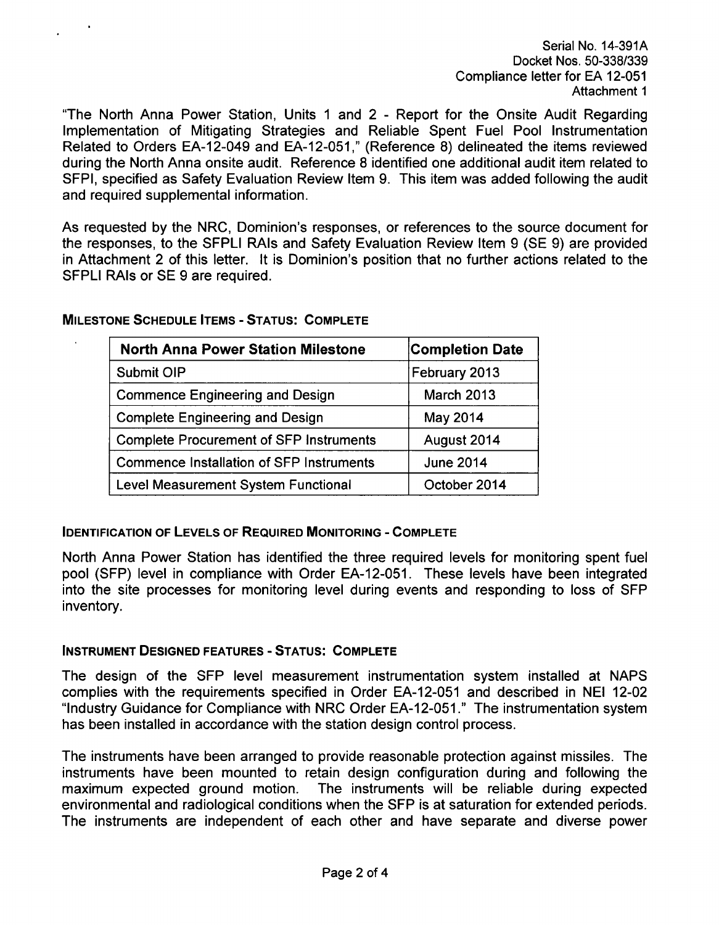Serial No. 14-391A Docket Nos. 50-338/339 Compliance letter for EA 12-051 Attachment **1**

"The North Anna Power Station, Units **1** and 2 - Report for the Onsite Audit Regarding Implementation of Mitigating Strategies and Reliable Spent Fuel Pool Instrumentation Related to Orders EA-12-049 and EA-12-051," (Reference 8) delineated the items reviewed during the North Anna onsite audit. Reference 8 identified one additional audit item related to SFPI, specified as Safety Evaluation Review Item 9. This item was added following the audit and required supplemental information.

As requested by the NRC, Dominion's responses, or references to the source document for the responses, to the SFPLI RAIs and Safety Evaluation Review Item 9 (SE 9) are provided in Attachment 2 of this letter. It is Dominion's position that no further actions related to the SFPLI RAIs or SE 9 are required.

| <b>North Anna Power Station Milestone</b>       | <b>Completion Date</b> |
|-------------------------------------------------|------------------------|
| Submit OIP                                      | February 2013          |
| <b>Commence Engineering and Design</b>          | <b>March 2013</b>      |
| <b>Complete Engineering and Design</b>          | May 2014               |
| <b>Complete Procurement of SFP Instruments</b>  | August 2014            |
| <b>Commence Installation of SFP Instruments</b> | <b>June 2014</b>       |
| <b>Level Measurement System Functional</b>      | October 2014           |

**MILESTONE SCHEDULE ITEMS** - **STATUS:** COMPLETE

#### **IDENTIFICATION** OF **LEVELS** OF **REQUIRED MONITORING** - COMPLETE

North Anna Power Station has identified the three required levels for monitoring spent fuel pool (SFP) level in compliance with Order EA-12-051. These levels have been integrated into the site processes for monitoring level during events and responding to loss of SFP inventory.

#### **INSTRUMENT DESIGNED FEATURES** - **STATUS:** COMPLETE

The design of the SFP level measurement instrumentation system installed at NAPS complies with the requirements specified in Order EA-12-051 and described in NEI 12-02 "Industry Guidance for Compliance with NRC Order EA-12-051." The instrumentation system has been installed in accordance with the station design control process.

The instruments have been arranged to provide reasonable protection against missiles. The instruments have been mounted to retain design configuration during and following the maximum expected ground motion. The instruments will be reliable during expected environmental and radiological conditions when the SFP is at saturation for extended periods. The instruments are independent of each other and have separate and diverse power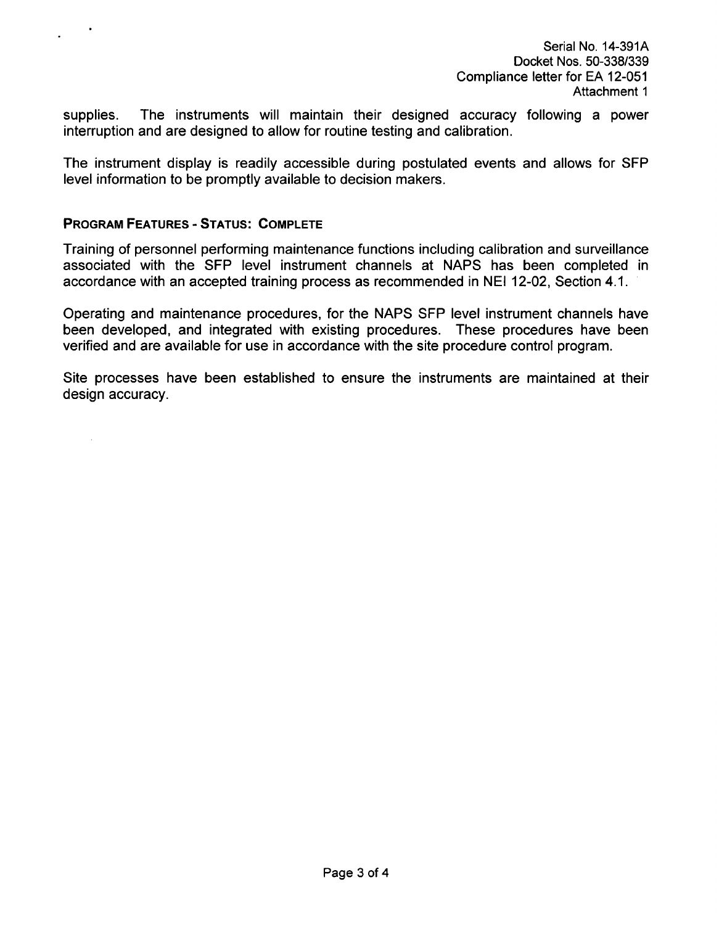supplies. The instruments will maintain their designed accuracy following a power interruption and are designed to allow for routine testing and calibration.

The instrument display is readily accessible during postulated events and allows for **SFP** level information to be promptly available to decision makers.

### PROGRAM **FEATURES** - **STATUS:** COMPLETE

 $\mathcal{L}^{\mathcal{L}}$ 

Training of personnel performing maintenance functions including calibration and surveillance associated with the **SFP** level instrument channels at NAPS has been completed in accordance with an accepted training process as recommended in NEI 12-02, Section 4.1.

Operating and maintenance procedures, for the NAPS SFP level instrument channels have been developed, and integrated with existing procedures. These procedures have been verified and are available for use in accordance with the site procedure control program.

Site processes have been established to ensure the instruments are maintained at their design accuracy.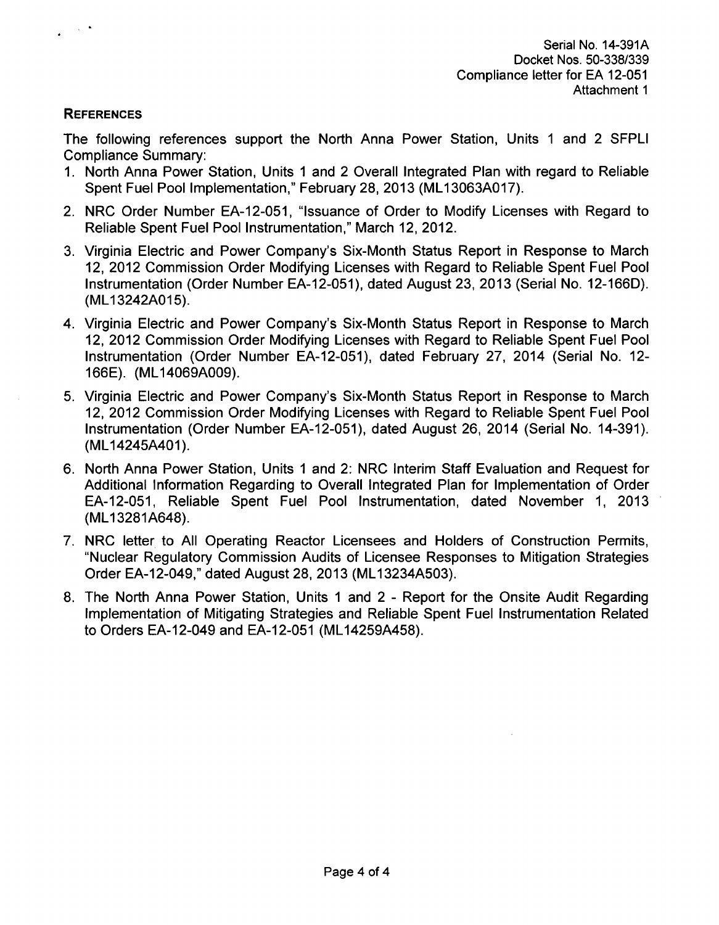## **REFERENCES**

The following references support the North Anna Power Station, Units **1** and 2 SFPLI Compliance Summary:

- 1. North Anna Power Station, Units 1 and 2 Overall Integrated Plan with regard to Reliable Spent Fuel Pool Implementation," February 28, 2013 (ML13063A017).
- 2. NRC Order Number EA-12-051, "Issuance of Order to Modify Licenses with Regard to Reliable Spent Fuel Pool Instrumentation," March 12, 2012.
- 3. Virginia Electric and Power Company's Six-Month Status Report in Response to March 12, 2012 Commission Order Modifying Licenses with Regard to Reliable Spent Fuel Pool Instrumentation (Order Number EA-12-051), dated August 23, 2013 (Serial No. 12-166D). (ML13242A015).
- 4. Virginia Electric and Power Company's Six-Month Status Report in Response to March 12, 2012 Commission Order Modifying Licenses with Regard to Reliable Spent Fuel Pool Instrumentation (Order Number EA-12-051), dated February 27, 2014 (Serial No. 12- 166E). (ML14069A009).
- 5. Virginia Electric and Power Company's Six-Month Status Report in Response to March 12, 2012 Commission Order Modifying Licenses with Regard to Reliable Spent Fuel Pool Instrumentation (Order Number EA-12-051), dated August 26, 2014 (Serial No. 14-391). (ML14245A401).
- 6. North Anna Power Station, Units **1** and 2: NRC Interim Staff Evaluation and Request for Additional Information Regarding to Overall Integrated Plan for Implementation of Order EA-12-051, Reliable Spent Fuel Pool Instrumentation, dated November 1, 2013 (ML13281A648).
- 7. NRC letter to All Operating Reactor Licensees and Holders of Construction Permits, "Nuclear Regulatory Commission Audits of Licensee Responses to Mitigation Strategies Order EA-12-049," dated August 28, 2013 (ML13234A503).
- 8. The North Anna Power Station, Units 1 and 2 Report for the Onsite Audit Regarding Implementation of Mitigating Strategies and Reliable Spent Fuel Instrumentation Related to Orders EA-12-049 and EA-12-051 (ML14259A458).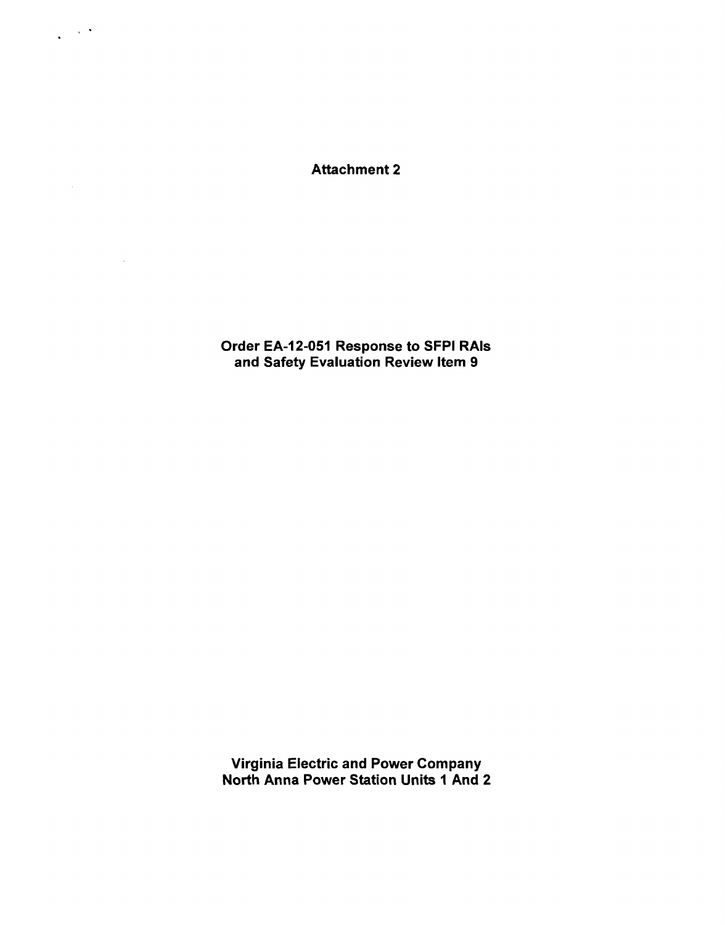Attachment 2

 $\sim 10^{-4}$  $\ddot{\phantom{a}}$ 

 $\Delta \sim 1$ 

 $\sim 10^{-11}$ 

Order EA-12-051 Response to SFPI RAIs and Safety Evaluation Review Item 9

Virginia Electric and Power Company North Anna Power Station Units **I** And 2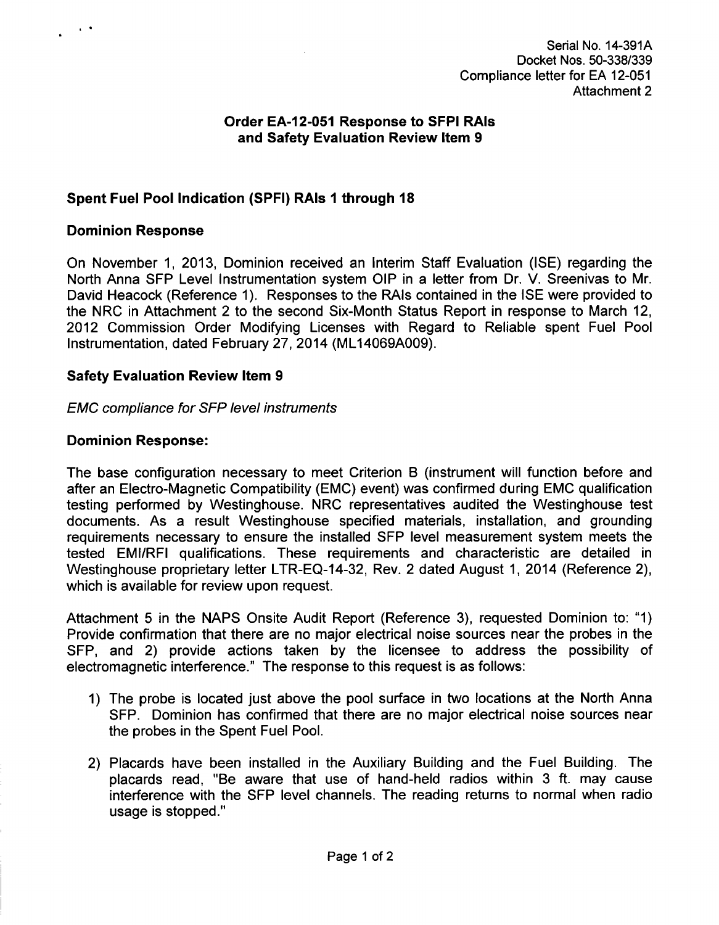## Order **EA-12-051** Response to **SFPI RAIs** and Safety Evaluation Review Item **9**

# Spent Fuel Pool Indication **(SPFI)** RAIs **I** through **18**

#### Dominion Response

On November **1, 2013,** Dominion received an Interim Staff Evaluation **(ISE)** regarding the North Anna **SFP** Level Instrumentation system OIP in a letter from Dr. V. Sreenivas to Mr. David Heacock (Reference 1). Responses to the RAIs contained in the ISE were provided to the NRC in Attachment 2 to the second Six-Month Status Report in response to March 12, 2012 Commission Order Modifying Licenses with Regard to Reliable spent Fuel Pool Instrumentation, dated February 27, 2014 (ML14069A009).

### Safety Evaluation Review Item **9**

### *EMC compliance for SFP level instruments*

### Dominion Response:

The base configuration necessary to meet Criterion B (instrument will function before and after an Electro-Magnetic Compatibility (EMC) event) was confirmed during EMC qualification testing performed by Westinghouse. NRC representatives audited the Westinghouse test documents. As a result Westinghouse specified materials, installation, and grounding requirements necessary to ensure the installed **SFP** level measurement system meets the tested EMI/RFI qualifications. These requirements and characteristic are detailed in Westinghouse proprietary letter LTR-EQ-14-32, Rev. 2 dated August 1, 2014 (Reference 2), which is available for review upon request.

Attachment 5 in the NAPS Onsite Audit Report (Reference 3), requested Dominion to: "1) Provide confirmation that there are no major electrical noise sources near the probes in the **SFP,** and 2) provide actions taken by the licensee to address the possibility of electromagnetic interference." The response to this request is as follows:

- 1) The probe is located just above the pool surface in two locations at the North Anna **SFP.** Dominion has confirmed that there are no major electrical noise sources near the probes in the Spent Fuel Pool.
- 2) Placards have been installed in the Auxiliary Building and the Fuel Building. The placards read, "Be aware that use of hand-held radios within 3 ft. may cause interference with the **SFP** level channels. The reading returns to normal when radio usage is stopped."